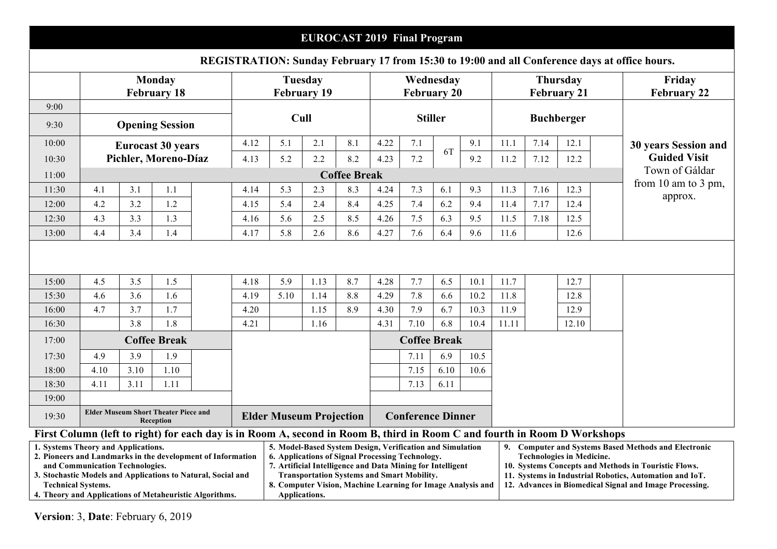|                                                                                                     |                                                                                                                                                                                                                                                                                                                                                                                                                                                                                                                                                                                                                                                                                                                                                                                      |      |                          |  |              |                               |                          | <b>EUROCAST 2019 Final Program</b> |                                 |                     |            |      |              |                                       |       |                              | REGISTRATION: Sunday February 17 from 15:30 to 19:00 and all Conference days at office hours. |
|-----------------------------------------------------------------------------------------------------|--------------------------------------------------------------------------------------------------------------------------------------------------------------------------------------------------------------------------------------------------------------------------------------------------------------------------------------------------------------------------------------------------------------------------------------------------------------------------------------------------------------------------------------------------------------------------------------------------------------------------------------------------------------------------------------------------------------------------------------------------------------------------------------|------|--------------------------|--|--------------|-------------------------------|--------------------------|------------------------------------|---------------------------------|---------------------|------------|------|--------------|---------------------------------------|-------|------------------------------|-----------------------------------------------------------------------------------------------|
|                                                                                                     | <b>Monday</b><br><b>February 18</b>                                                                                                                                                                                                                                                                                                                                                                                                                                                                                                                                                                                                                                                                                                                                                  |      |                          |  |              | Tuesday<br><b>February 19</b> |                          |                                    | Wednesday<br><b>February 20</b> |                     |            |      |              | <b>Thursday</b><br><b>February 21</b> |       | Friday<br><b>February 22</b> |                                                                                               |
| 9:00<br>9:30                                                                                        | <b>Opening Session</b>                                                                                                                                                                                                                                                                                                                                                                                                                                                                                                                                                                                                                                                                                                                                                               |      |                          |  |              | Cull                          |                          |                                    | <b>Stiller</b>                  |                     |            |      |              | <b>Buchberger</b>                     |       |                              |                                                                                               |
| 10:00                                                                                               |                                                                                                                                                                                                                                                                                                                                                                                                                                                                                                                                                                                                                                                                                                                                                                                      |      | <b>Eurocast 30 years</b> |  | 4.12         | 5.1                           | 2.1                      | 8.1                                | 4.22                            | 7.1                 |            | 9.1  | 11.1         | 7.14                                  | 12.1  |                              | <b>30 years Session and</b>                                                                   |
| 10:30                                                                                               |                                                                                                                                                                                                                                                                                                                                                                                                                                                                                                                                                                                                                                                                                                                                                                                      |      | Pichler, Moreno-Díaz     |  | 4.13         | 5.2                           | 2.2                      | 8.2                                | 4.23                            | 7.2                 | 6T         | 9.2  | 11.2<br>7.12 |                                       | 12.2  |                              | <b>Guided Visit</b>                                                                           |
| 11:00                                                                                               |                                                                                                                                                                                                                                                                                                                                                                                                                                                                                                                                                                                                                                                                                                                                                                                      |      |                          |  |              |                               |                          | <b>Coffee Break</b>                |                                 |                     |            |      |              |                                       |       |                              | Town of Gáldar                                                                                |
| 11:30                                                                                               | 4.1                                                                                                                                                                                                                                                                                                                                                                                                                                                                                                                                                                                                                                                                                                                                                                                  | 3.1  | 1.1                      |  | 4.14         | 5.3                           | 2.3                      | 8.3                                | 4.24                            | 7.3                 | 6.1        | 9.3  | 11.3         | 7.16                                  | 12.3  |                              | from 10 am to 3 pm,<br>approx.                                                                |
| 12:00                                                                                               | 4.2                                                                                                                                                                                                                                                                                                                                                                                                                                                                                                                                                                                                                                                                                                                                                                                  | 3.2  | 1.2                      |  | 4.15         | 5.4                           | 2.4                      | 8.4                                | 4.25                            | 7.4                 | 6.2        | 9.4  | 11.4         | 7.17                                  | 12.4  |                              |                                                                                               |
| 12:30                                                                                               | 4.3                                                                                                                                                                                                                                                                                                                                                                                                                                                                                                                                                                                                                                                                                                                                                                                  | 3.3  | 1.3                      |  | 4.16         | 5.6                           | 2.5                      | 8.5                                | 4.26                            | 7.5                 | 6.3        | 9.5  | 11.5         | 7.18                                  | 12.5  |                              |                                                                                               |
| 13:00                                                                                               | 4.4                                                                                                                                                                                                                                                                                                                                                                                                                                                                                                                                                                                                                                                                                                                                                                                  | 3.4  | 1.4                      |  | 4.17         | 5.8                           | 2.6                      | 8.6                                | 4.27                            | 7.6                 | 6.4        | 9.6  | 11.6         |                                       | 12.6  |                              |                                                                                               |
|                                                                                                     | 4.5                                                                                                                                                                                                                                                                                                                                                                                                                                                                                                                                                                                                                                                                                                                                                                                  | 3.5  | 1.5                      |  |              | 5.9                           |                          | 8.7                                | 4.28                            | 7.7                 | 6.5        | 10.1 |              |                                       | 12.7  |                              |                                                                                               |
| 15:00<br>15:30                                                                                      | 4.6                                                                                                                                                                                                                                                                                                                                                                                                                                                                                                                                                                                                                                                                                                                                                                                  | 3.6  | 1.6                      |  | 4.18<br>4.19 | 5.10                          | 1.13<br>1.14             | 8.8                                | 4.29                            | 7.8                 |            | 10.2 | 11.7<br>11.8 |                                       | 12.8  |                              |                                                                                               |
| 16:00                                                                                               | 4.7                                                                                                                                                                                                                                                                                                                                                                                                                                                                                                                                                                                                                                                                                                                                                                                  | 3.7  | 1.7                      |  | 4.20         |                               | 1.15                     | 8.9                                | 4.30                            | 7.9                 | 6.6<br>6.7 | 10.3 | 11.9         |                                       | 12.9  |                              |                                                                                               |
| 16:30                                                                                               |                                                                                                                                                                                                                                                                                                                                                                                                                                                                                                                                                                                                                                                                                                                                                                                      | 3.8  | 1.8                      |  | 4.21         |                               | 1.16                     |                                    | 4.31                            | 7.10                | 6.8        | 10.4 | 11.11        |                                       | 12.10 |                              |                                                                                               |
| 17:00                                                                                               |                                                                                                                                                                                                                                                                                                                                                                                                                                                                                                                                                                                                                                                                                                                                                                                      |      | <b>Coffee Break</b>      |  |              |                               |                          |                                    |                                 | <b>Coffee Break</b> |            |      |              |                                       |       |                              |                                                                                               |
| 17:30                                                                                               | 4.9                                                                                                                                                                                                                                                                                                                                                                                                                                                                                                                                                                                                                                                                                                                                                                                  | 3.9  | 1.9                      |  |              |                               |                          |                                    |                                 | 7.11                | 6.9        | 10.5 |              |                                       |       |                              |                                                                                               |
| 18:00                                                                                               | 4.10                                                                                                                                                                                                                                                                                                                                                                                                                                                                                                                                                                                                                                                                                                                                                                                 | 3.10 | 1.10                     |  |              |                               |                          |                                    |                                 | 7.15                | 6.10       | 10.6 |              |                                       |       |                              |                                                                                               |
| 18:30                                                                                               | 4.11                                                                                                                                                                                                                                                                                                                                                                                                                                                                                                                                                                                                                                                                                                                                                                                 | 3.11 | 1.11                     |  |              |                               |                          |                                    |                                 | 7.13                | 6.11       |      |              |                                       |       |                              |                                                                                               |
| 19:00                                                                                               |                                                                                                                                                                                                                                                                                                                                                                                                                                                                                                                                                                                                                                                                                                                                                                                      |      |                          |  |              |                               |                          |                                    |                                 |                     |            |      |              |                                       |       |                              |                                                                                               |
| <b>Elder Museum Short Theater Piece and</b><br><b>Elder Museum Projection</b><br>19:30<br>Reception |                                                                                                                                                                                                                                                                                                                                                                                                                                                                                                                                                                                                                                                                                                                                                                                      |      |                          |  |              |                               | <b>Conference Dinner</b> |                                    |                                 |                     |            |      |              |                                       |       |                              |                                                                                               |
|                                                                                                     |                                                                                                                                                                                                                                                                                                                                                                                                                                                                                                                                                                                                                                                                                                                                                                                      |      |                          |  |              |                               |                          |                                    |                                 |                     |            |      |              |                                       |       |                              |                                                                                               |
|                                                                                                     | First Column (left to right) for each day is in Room A, second in Room B, third in Room C and fourth in Room D Workshops<br>1. Systems Theory and Applications.<br>5. Model-Based System Design, Verification and Simulation<br>9. Computer and Systems Based Methods and Electronic<br>2. Pioneers and Landmarks in the development of Information<br>6. Applications of Signal Processing Technology.<br><b>Technologies in Medicine.</b><br>7. Artificial Intelligence and Data Mining for Intelligent<br>10. Systems Concepts and Methods in Touristic Flows.<br>and Communication Technologies.<br>3. Stochastic Models and Applications to Natural, Social and<br><b>Transportation Systems and Smart Mobility.</b><br>11. Systems in Industrial Robotics, Automation and IoT. |      |                          |  |              |                               |                          |                                    |                                 |                     |            |      |              |                                       |       |                              |                                                                                               |

**8. Computer Vision, Machine Learning for Image Analysis and** 

**12. Advances in Biomedical Signal and Image Processing.** 

**Applications.** 

**Technical Systems. 4. Theory and Applications of Metaheuristic Algorithms.**

**Version**: 3, **Date**: February 6, 2019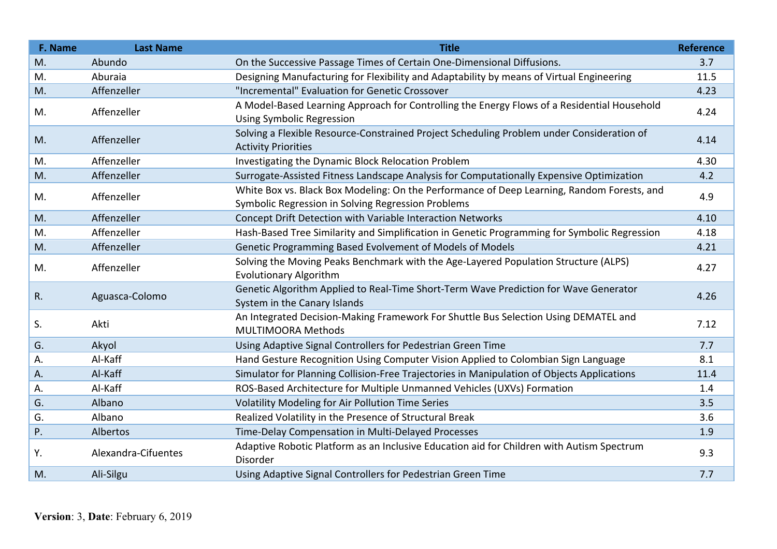| F. Name     | <b>Last Name</b>    | <b>Title</b>                                                                                                                                     | <b>Reference</b> |
|-------------|---------------------|--------------------------------------------------------------------------------------------------------------------------------------------------|------------------|
| M.          | Abundo              | On the Successive Passage Times of Certain One-Dimensional Diffusions.                                                                           | 3.7              |
| M.          | Aburaia             | Designing Manufacturing for Flexibility and Adaptability by means of Virtual Engineering                                                         | 11.5             |
| M.          | Affenzeller         | "Incremental" Evaluation for Genetic Crossover                                                                                                   | 4.23             |
| M.          | Affenzeller         | A Model-Based Learning Approach for Controlling the Energy Flows of a Residential Household<br><b>Using Symbolic Regression</b>                  | 4.24             |
| M.          | Affenzeller         | Solving a Flexible Resource-Constrained Project Scheduling Problem under Consideration of<br><b>Activity Priorities</b>                          | 4.14             |
| M.          | Affenzeller         | Investigating the Dynamic Block Relocation Problem                                                                                               | 4.30             |
| M.          | Affenzeller         | Surrogate-Assisted Fitness Landscape Analysis for Computationally Expensive Optimization                                                         | 4.2              |
| M.          | Affenzeller         | White Box vs. Black Box Modeling: On the Performance of Deep Learning, Random Forests, and<br>Symbolic Regression in Solving Regression Problems | 4.9              |
| M.          | Affenzeller         | Concept Drift Detection with Variable Interaction Networks                                                                                       | 4.10             |
| M.          | Affenzeller         | Hash-Based Tree Similarity and Simplification in Genetic Programming for Symbolic Regression                                                     | 4.18             |
| M.          | Affenzeller         | Genetic Programming Based Evolvement of Models of Models                                                                                         | 4.21             |
| M.          | Affenzeller         | Solving the Moving Peaks Benchmark with the Age-Layered Population Structure (ALPS)<br><b>Evolutionary Algorithm</b>                             | 4.27             |
| $R_{\cdot}$ | Aguasca-Colomo      | Genetic Algorithm Applied to Real-Time Short-Term Wave Prediction for Wave Generator<br>System in the Canary Islands                             | 4.26             |
| S.          | Akti                | An Integrated Decision-Making Framework For Shuttle Bus Selection Using DEMATEL and<br><b>MULTIMOORA Methods</b>                                 | 7.12             |
| G.          | Akyol               | Using Adaptive Signal Controllers for Pedestrian Green Time                                                                                      | 7.7              |
| А.          | Al-Kaff             | Hand Gesture Recognition Using Computer Vision Applied to Colombian Sign Language                                                                | 8.1              |
| Α.          | Al-Kaff             | Simulator for Planning Collision-Free Trajectories in Manipulation of Objects Applications                                                       | 11.4             |
| А.          | Al-Kaff             | ROS-Based Architecture for Multiple Unmanned Vehicles (UXVs) Formation                                                                           | 1.4              |
| G.          | Albano              | Volatility Modeling for Air Pollution Time Series                                                                                                | 3.5              |
| G.          | Albano              | Realized Volatility in the Presence of Structural Break                                                                                          | 3.6              |
| P.          | Albertos            | Time-Delay Compensation in Multi-Delayed Processes                                                                                               | 1.9              |
| Υ.          | Alexandra-Cifuentes | Adaptive Robotic Platform as an Inclusive Education aid for Children with Autism Spectrum<br>Disorder                                            | 9.3              |
| M.          | Ali-Silgu           | Using Adaptive Signal Controllers for Pedestrian Green Time                                                                                      | 7.7              |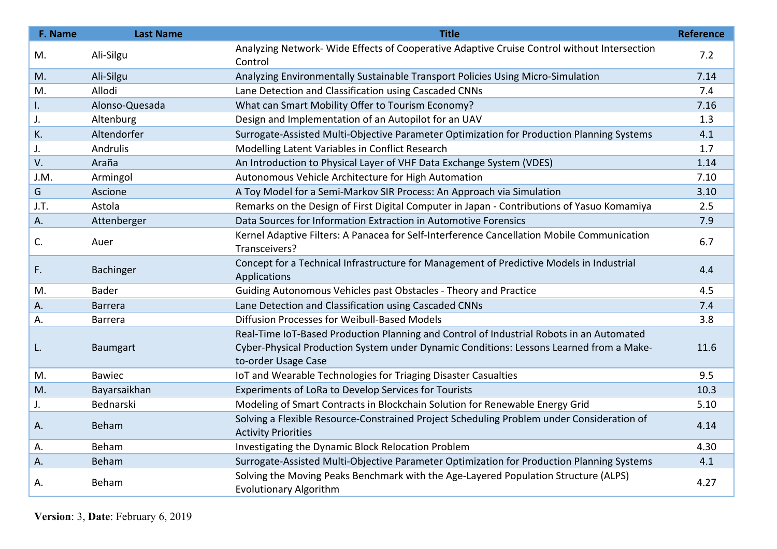| F. Name | <b>Last Name</b> | <b>Title</b>                                                                                                                                                                                               | <b>Reference</b> |
|---------|------------------|------------------------------------------------------------------------------------------------------------------------------------------------------------------------------------------------------------|------------------|
| M.      | Ali-Silgu        | Analyzing Network-Wide Effects of Cooperative Adaptive Cruise Control without Intersection<br>Control                                                                                                      | 7.2              |
| M.      | Ali-Silgu        | Analyzing Environmentally Sustainable Transport Policies Using Micro-Simulation                                                                                                                            | 7.14             |
| M.      | Allodi           | Lane Detection and Classification using Cascaded CNNs                                                                                                                                                      | 7.4              |
| I.      | Alonso-Quesada   | What can Smart Mobility Offer to Tourism Economy?                                                                                                                                                          | 7.16             |
| J.      | Altenburg        | Design and Implementation of an Autopilot for an UAV                                                                                                                                                       | 1.3              |
| K.      | Altendorfer      | Surrogate-Assisted Multi-Objective Parameter Optimization for Production Planning Systems                                                                                                                  | 4.1              |
| J.      | Andrulis         | Modelling Latent Variables in Conflict Research                                                                                                                                                            | 1.7              |
| V.      | Araña            | An Introduction to Physical Layer of VHF Data Exchange System (VDES)                                                                                                                                       | 1.14             |
| J.M.    | Armingol         | Autonomous Vehicle Architecture for High Automation                                                                                                                                                        | 7.10             |
| G       | Ascione          | A Toy Model for a Semi-Markov SIR Process: An Approach via Simulation                                                                                                                                      | 3.10             |
| J.T.    | Astola           | Remarks on the Design of First Digital Computer in Japan - Contributions of Yasuo Komamiya                                                                                                                 | 2.5              |
| А.      | Attenberger      | Data Sources for Information Extraction in Automotive Forensics                                                                                                                                            | 7.9              |
| C.      | Auer             | Kernel Adaptive Filters: A Panacea for Self-Interference Cancellation Mobile Communication<br>Transceivers?                                                                                                | 6.7              |
| F.      | Bachinger        | Concept for a Technical Infrastructure for Management of Predictive Models in Industrial<br>Applications                                                                                                   | 4.4              |
| M.      | <b>Bader</b>     | Guiding Autonomous Vehicles past Obstacles - Theory and Practice                                                                                                                                           | 4.5              |
| Α.      | <b>Barrera</b>   | Lane Detection and Classification using Cascaded CNNs                                                                                                                                                      | 7.4              |
| А.      | Barrera          | Diffusion Processes for Weibull-Based Models                                                                                                                                                               | 3.8              |
| L.      | Baumgart         | Real-Time IoT-Based Production Planning and Control of Industrial Robots in an Automated<br>Cyber-Physical Production System under Dynamic Conditions: Lessons Learned from a Make-<br>to-order Usage Case | 11.6             |
| M.      | <b>Bawiec</b>    | IoT and Wearable Technologies for Triaging Disaster Casualties                                                                                                                                             | 9.5              |
| M.      | Bayarsaikhan     | Experiments of LoRa to Develop Services for Tourists                                                                                                                                                       | 10.3             |
| J.      | Bednarski        | Modeling of Smart Contracts in Blockchain Solution for Renewable Energy Grid                                                                                                                               | 5.10             |
| Α.      | Beham            | Solving a Flexible Resource-Constrained Project Scheduling Problem under Consideration of<br><b>Activity Priorities</b>                                                                                    | 4.14             |
| А.      | Beham            | Investigating the Dynamic Block Relocation Problem                                                                                                                                                         | 4.30             |
| Α.      | Beham            | Surrogate-Assisted Multi-Objective Parameter Optimization for Production Planning Systems                                                                                                                  | 4.1              |
| А.      | Beham            | Solving the Moving Peaks Benchmark with the Age-Layered Population Structure (ALPS)<br><b>Evolutionary Algorithm</b>                                                                                       | 4.27             |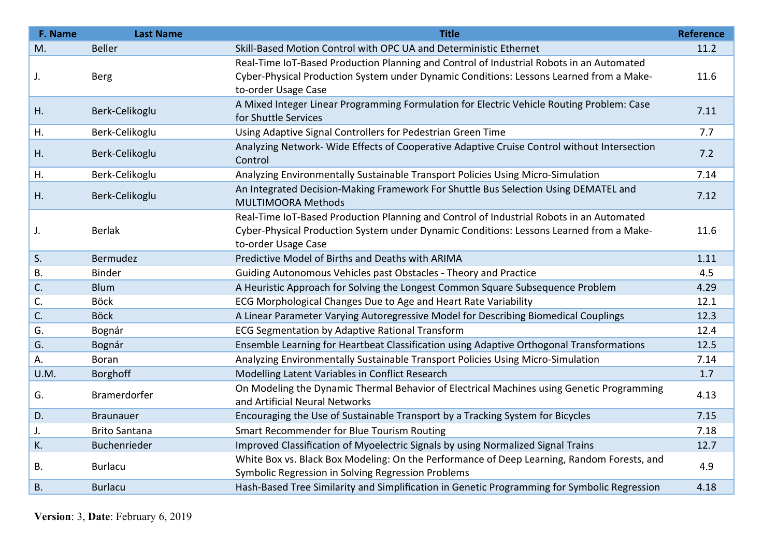| F. Name   | <b>Last Name</b>     | <b>Title</b>                                                                                                                                                                                               | <b>Reference</b> |
|-----------|----------------------|------------------------------------------------------------------------------------------------------------------------------------------------------------------------------------------------------------|------------------|
| M.        | <b>Beller</b>        | Skill-Based Motion Control with OPC UA and Deterministic Ethernet                                                                                                                                          | 11.2             |
| J.        | <b>Berg</b>          | Real-Time IoT-Based Production Planning and Control of Industrial Robots in an Automated<br>Cyber-Physical Production System under Dynamic Conditions: Lessons Learned from a Make-<br>to-order Usage Case | 11.6             |
| H.        | Berk-Celikoglu       | A Mixed Integer Linear Programming Formulation for Electric Vehicle Routing Problem: Case<br>for Shuttle Services                                                                                          | 7.11             |
| Η.        | Berk-Celikoglu       | Using Adaptive Signal Controllers for Pedestrian Green Time                                                                                                                                                | 7.7              |
| Η.        | Berk-Celikoglu       | Analyzing Network- Wide Effects of Cooperative Adaptive Cruise Control without Intersection<br>Control                                                                                                     | 7.2              |
| Η.        | Berk-Celikoglu       | Analyzing Environmentally Sustainable Transport Policies Using Micro-Simulation                                                                                                                            | 7.14             |
| Η.        | Berk-Celikoglu       | An Integrated Decision-Making Framework For Shuttle Bus Selection Using DEMATEL and<br><b>MULTIMOORA Methods</b>                                                                                           | 7.12             |
| J.        | <b>Berlak</b>        | Real-Time IoT-Based Production Planning and Control of Industrial Robots in an Automated<br>Cyber-Physical Production System under Dynamic Conditions: Lessons Learned from a Make-<br>to-order Usage Case | 11.6             |
| S.        | Bermudez             | Predictive Model of Births and Deaths with ARIMA                                                                                                                                                           | 1.11             |
| <b>B.</b> | <b>Binder</b>        | Guiding Autonomous Vehicles past Obstacles - Theory and Practice                                                                                                                                           | 4.5              |
| C.        | <b>Blum</b>          | A Heuristic Approach for Solving the Longest Common Square Subsequence Problem                                                                                                                             | 4.29             |
| C.        | <b>Böck</b>          | ECG Morphological Changes Due to Age and Heart Rate Variability                                                                                                                                            | 12.1             |
| C.        | <b>Böck</b>          | A Linear Parameter Varying Autoregressive Model for Describing Biomedical Couplings                                                                                                                        | 12.3             |
| G.        | Bognár               | ECG Segmentation by Adaptive Rational Transform                                                                                                                                                            | 12.4             |
| G.        | Bognár               | Ensemble Learning for Heartbeat Classification using Adaptive Orthogonal Transformations                                                                                                                   | 12.5             |
| А.        | Boran                | Analyzing Environmentally Sustainable Transport Policies Using Micro-Simulation                                                                                                                            | 7.14             |
| U.M.      | <b>Borghoff</b>      | Modelling Latent Variables in Conflict Research                                                                                                                                                            | 1.7              |
| G.        | Bramerdorfer         | On Modeling the Dynamic Thermal Behavior of Electrical Machines using Genetic Programming<br>and Artificial Neural Networks                                                                                | 4.13             |
| D.        | <b>Braunauer</b>     | Encouraging the Use of Sustainable Transport by a Tracking System for Bicycles                                                                                                                             | 7.15             |
| J.        | <b>Brito Santana</b> | Smart Recommender for Blue Tourism Routing                                                                                                                                                                 | 7.18             |
| K.        | Buchenrieder         | Improved Classification of Myoelectric Signals by using Normalized Signal Trains                                                                                                                           | 12.7             |
| <b>B.</b> | <b>Burlacu</b>       | White Box vs. Black Box Modeling: On the Performance of Deep Learning, Random Forests, and<br>Symbolic Regression in Solving Regression Problems                                                           | 4.9              |
| <b>B.</b> | <b>Burlacu</b>       | Hash-Based Tree Similarity and Simplification in Genetic Programming for Symbolic Regression                                                                                                               | 4.18             |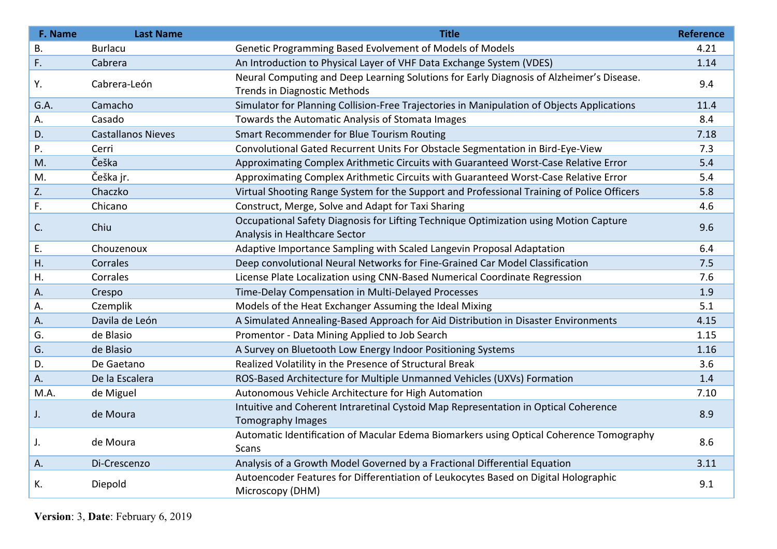| F. Name   | <b>Last Name</b>          | <b>Title</b>                                                                                                             | <b>Reference</b> |
|-----------|---------------------------|--------------------------------------------------------------------------------------------------------------------------|------------------|
| <b>B.</b> | <b>Burlacu</b>            | Genetic Programming Based Evolvement of Models of Models                                                                 | 4.21             |
| F.        | Cabrera                   | An Introduction to Physical Layer of VHF Data Exchange System (VDES)                                                     | 1.14             |
| Υ.        | Cabrera-León              | Neural Computing and Deep Learning Solutions for Early Diagnosis of Alzheimer's Disease.<br>Trends in Diagnostic Methods | 9.4              |
| G.A.      | Camacho                   | Simulator for Planning Collision-Free Trajectories in Manipulation of Objects Applications                               | 11.4             |
| Α.        | Casado                    | Towards the Automatic Analysis of Stomata Images                                                                         | 8.4              |
| D.        | <b>Castallanos Nieves</b> | Smart Recommender for Blue Tourism Routing                                                                               | 7.18             |
| P.        | Cerri                     | Convolutional Gated Recurrent Units For Obstacle Segmentation in Bird-Eye-View                                           | 7.3              |
| M.        | Češka                     | Approximating Complex Arithmetic Circuits with Guaranteed Worst-Case Relative Error                                      | 5.4              |
| M.        | Češka jr.                 | Approximating Complex Arithmetic Circuits with Guaranteed Worst-Case Relative Error                                      | 5.4              |
| Z.        | Chaczko                   | Virtual Shooting Range System for the Support and Professional Training of Police Officers                               | 5.8              |
| F.        | Chicano                   | Construct, Merge, Solve and Adapt for Taxi Sharing                                                                       | 4.6              |
| C.        | Chiu                      | Occupational Safety Diagnosis for Lifting Technique Optimization using Motion Capture<br>Analysis in Healthcare Sector   | 9.6              |
| Ε.        | Chouzenoux                | Adaptive Importance Sampling with Scaled Langevin Proposal Adaptation                                                    | 6.4              |
| Η.        | Corrales                  | Deep convolutional Neural Networks for Fine-Grained Car Model Classification                                             | 7.5              |
| Η.        | Corrales                  | License Plate Localization using CNN-Based Numerical Coordinate Regression                                               | 7.6              |
| Α.        | Crespo                    | Time-Delay Compensation in Multi-Delayed Processes                                                                       | 1.9              |
| А.        | Czemplik                  | Models of the Heat Exchanger Assuming the Ideal Mixing                                                                   | 5.1              |
| Α.        | Davila de León            | A Simulated Annealing-Based Approach for Aid Distribution in Disaster Environments                                       | 4.15             |
| G.        | de Blasio                 | Promentor - Data Mining Applied to Job Search                                                                            | 1.15             |
| G.        | de Blasio                 | A Survey on Bluetooth Low Energy Indoor Positioning Systems                                                              | 1.16             |
| D.        | De Gaetano                | Realized Volatility in the Presence of Structural Break                                                                  | 3.6              |
| A.        | De la Escalera            | ROS-Based Architecture for Multiple Unmanned Vehicles (UXVs) Formation                                                   | 1.4              |
| M.A.      | de Miguel                 | Autonomous Vehicle Architecture for High Automation                                                                      | 7.10             |
| J.        | de Moura                  | Intuitive and Coherent Intraretinal Cystoid Map Representation in Optical Coherence<br>Tomography Images                 | 8.9              |
| J.        | de Moura                  | Automatic Identification of Macular Edema Biomarkers using Optical Coherence Tomography<br><b>Scans</b>                  | 8.6              |
| Α.        | Di-Crescenzo              | Analysis of a Growth Model Governed by a Fractional Differential Equation                                                | 3.11             |
| К.        | Diepold                   | Autoencoder Features for Differentiation of Leukocytes Based on Digital Holographic<br>Microscopy (DHM)                  | 9.1              |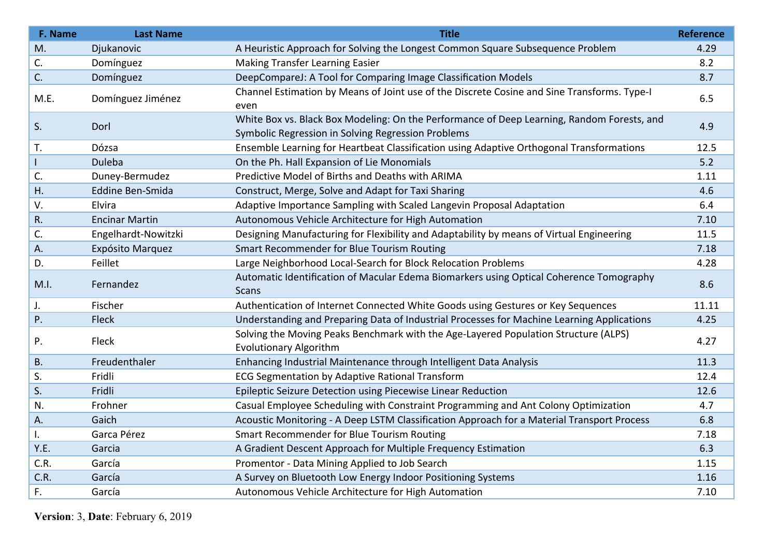| F. Name   | <b>Last Name</b>      | <b>Title</b>                                                                                                                                     | <b>Reference</b> |
|-----------|-----------------------|--------------------------------------------------------------------------------------------------------------------------------------------------|------------------|
| M.        | Djukanovic            | A Heuristic Approach for Solving the Longest Common Square Subsequence Problem                                                                   | 4.29             |
| C.        | Domínguez             | <b>Making Transfer Learning Easier</b>                                                                                                           | 8.2              |
| C.        | Domínguez             | DeepCompareJ: A Tool for Comparing Image Classification Models                                                                                   | 8.7              |
| M.E.      | Domínguez Jiménez     | Channel Estimation by Means of Joint use of the Discrete Cosine and Sine Transforms. Type-I<br>even                                              | 6.5              |
| S.        | Dorl                  | White Box vs. Black Box Modeling: On the Performance of Deep Learning, Random Forests, and<br>Symbolic Regression in Solving Regression Problems | 4.9              |
| Τ.        | Dózsa                 | Ensemble Learning for Heartbeat Classification using Adaptive Orthogonal Transformations                                                         | 12.5             |
|           | Duleba                | On the Ph. Hall Expansion of Lie Monomials                                                                                                       | $5.2$            |
| C.        | Duney-Bermudez        | Predictive Model of Births and Deaths with ARIMA                                                                                                 | 1.11             |
| Η.        | Eddine Ben-Smida      | Construct, Merge, Solve and Adapt for Taxi Sharing                                                                                               | 4.6              |
| V.        | Elvira                | Adaptive Importance Sampling with Scaled Langevin Proposal Adaptation                                                                            | 6.4              |
| R.        | <b>Encinar Martin</b> | Autonomous Vehicle Architecture for High Automation                                                                                              | 7.10             |
| C.        | Engelhardt-Nowitzki   | Designing Manufacturing for Flexibility and Adaptability by means of Virtual Engineering                                                         | 11.5             |
| Α.        | Expósito Marquez      | Smart Recommender for Blue Tourism Routing                                                                                                       | 7.18             |
| D.        | Feillet               | Large Neighborhood Local-Search for Block Relocation Problems                                                                                    | 4.28             |
| M.I.      | Fernandez             | Automatic Identification of Macular Edema Biomarkers using Optical Coherence Tomography<br>Scans                                                 | 8.6              |
| J.        | Fischer               | Authentication of Internet Connected White Goods using Gestures or Key Sequences                                                                 | 11.11            |
| Ρ.        | Fleck                 | Understanding and Preparing Data of Industrial Processes for Machine Learning Applications                                                       | 4.25             |
| P.        | Fleck                 | Solving the Moving Peaks Benchmark with the Age-Layered Population Structure (ALPS)<br><b>Evolutionary Algorithm</b>                             | 4.27             |
| <b>B.</b> | Freudenthaler         | Enhancing Industrial Maintenance through Intelligent Data Analysis                                                                               | 11.3             |
| S.        | Fridli                | ECG Segmentation by Adaptive Rational Transform                                                                                                  | 12.4             |
| S.        | Fridli                | Epileptic Seizure Detection using Piecewise Linear Reduction                                                                                     | 12.6             |
| N.        | Frohner               | Casual Employee Scheduling with Constraint Programming and Ant Colony Optimization                                                               | 4.7              |
| А.        | Gaich                 | Acoustic Monitoring - A Deep LSTM Classification Approach for a Material Transport Process                                                       | 6.8              |
| Ι.        | Garca Pérez           | Smart Recommender for Blue Tourism Routing                                                                                                       | 7.18             |
| Y.E.      | Garcia                | A Gradient Descent Approach for Multiple Frequency Estimation                                                                                    | 6.3              |
| C.R.      | García                | Promentor - Data Mining Applied to Job Search                                                                                                    | 1.15             |
| C.R.      | García                | A Survey on Bluetooth Low Energy Indoor Positioning Systems                                                                                      | 1.16             |
| F.        | García                | Autonomous Vehicle Architecture for High Automation                                                                                              | 7.10             |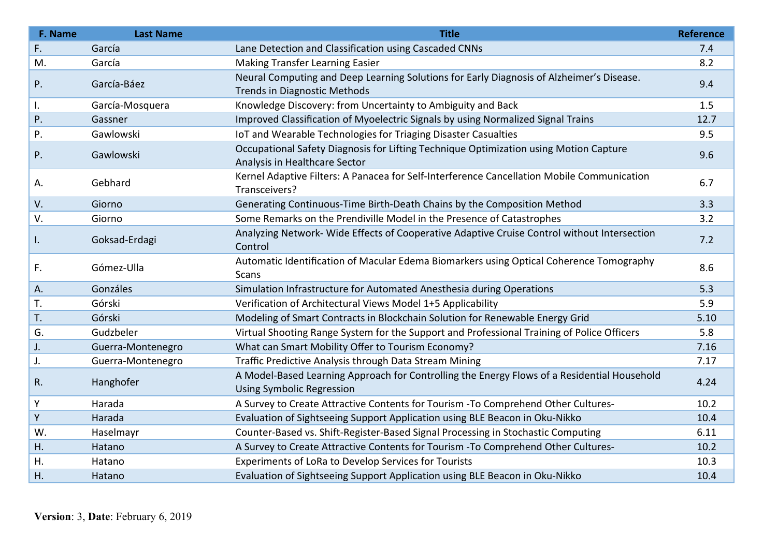| F. Name  | <b>Last Name</b>  | <b>Title</b>                                                                                                                    | <b>Reference</b> |
|----------|-------------------|---------------------------------------------------------------------------------------------------------------------------------|------------------|
| F.       | García            | Lane Detection and Classification using Cascaded CNNs                                                                           | 7.4              |
| M.       | García            | <b>Making Transfer Learning Easier</b>                                                                                          | 8.2              |
| P.       | García-Báez       | Neural Computing and Deep Learning Solutions for Early Diagnosis of Alzheimer's Disease.<br><b>Trends in Diagnostic Methods</b> | 9.4              |
|          | García-Mosquera   | Knowledge Discovery: from Uncertainty to Ambiguity and Back                                                                     | 1.5              |
| I.<br>P. | Gassner           | Improved Classification of Myoelectric Signals by using Normalized Signal Trains                                                | 12.7             |
| Ρ.       | Gawlowski         | IoT and Wearable Technologies for Triaging Disaster Casualties                                                                  | 9.5              |
| P.       | Gawlowski         | Occupational Safety Diagnosis for Lifting Technique Optimization using Motion Capture<br>Analysis in Healthcare Sector          | 9.6              |
| А.       | Gebhard           | Kernel Adaptive Filters: A Panacea for Self-Interference Cancellation Mobile Communication<br>Transceivers?                     | 6.7              |
| V.       | Giorno            | Generating Continuous-Time Birth-Death Chains by the Composition Method                                                         | 3.3              |
| V.       | Giorno            | Some Remarks on the Prendiville Model in the Presence of Catastrophes                                                           | 3.2              |
| I.       | Goksad-Erdagi     | Analyzing Network-Wide Effects of Cooperative Adaptive Cruise Control without Intersection<br>Control                           | 7.2              |
| F.       | Gómez-Ulla        | Automatic Identification of Macular Edema Biomarkers using Optical Coherence Tomography<br>Scans                                | 8.6              |
| Α.       | Gonzáles          | Simulation Infrastructure for Automated Anesthesia during Operations                                                            | 5.3              |
| T.       | Górski            | Verification of Architectural Views Model 1+5 Applicability                                                                     | 5.9              |
| T.       | Górski            | Modeling of Smart Contracts in Blockchain Solution for Renewable Energy Grid                                                    | 5.10             |
| G.       | Gudzbeler         | Virtual Shooting Range System for the Support and Professional Training of Police Officers                                      | 5.8              |
| J.       | Guerra-Montenegro | What can Smart Mobility Offer to Tourism Economy?                                                                               | 7.16             |
| J.       | Guerra-Montenegro | Traffic Predictive Analysis through Data Stream Mining                                                                          | 7.17             |
| R.       | Hanghofer         | A Model-Based Learning Approach for Controlling the Energy Flows of a Residential Household<br><b>Using Symbolic Regression</b> | 4.24             |
| Υ        | Harada            | A Survey to Create Attractive Contents for Tourism - To Comprehend Other Cultures-                                              | 10.2             |
| Υ        | Harada            | Evaluation of Sightseeing Support Application using BLE Beacon in Oku-Nikko                                                     | 10.4             |
| W.       | Haselmayr         | Counter-Based vs. Shift-Register-Based Signal Processing in Stochastic Computing                                                | 6.11             |
| Η.       | Hatano            | A Survey to Create Attractive Contents for Tourism - To Comprehend Other Cultures-                                              | 10.2             |
| Η.       | Hatano            | Experiments of LoRa to Develop Services for Tourists                                                                            | 10.3             |
| Η.       | Hatano            | Evaluation of Sightseeing Support Application using BLE Beacon in Oku-Nikko                                                     | 10.4             |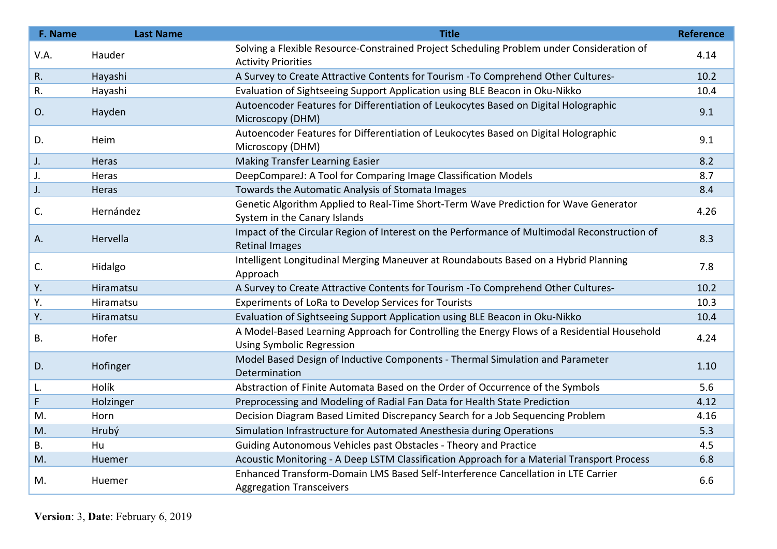| F. Name   | <b>Last Name</b> | <b>Title</b>                                                                                            | <b>Reference</b> |
|-----------|------------------|---------------------------------------------------------------------------------------------------------|------------------|
| V.A.      | Hauder           | Solving a Flexible Resource-Constrained Project Scheduling Problem under Consideration of               | 4.14             |
|           |                  | <b>Activity Priorities</b>                                                                              |                  |
| R.        | Hayashi          | A Survey to Create Attractive Contents for Tourism - To Comprehend Other Cultures-                      | 10.2             |
| R.        | Hayashi          | Evaluation of Sightseeing Support Application using BLE Beacon in Oku-Nikko                             | 10.4             |
| O.        | Hayden           | Autoencoder Features for Differentiation of Leukocytes Based on Digital Holographic                     | 9.1              |
|           |                  | Microscopy (DHM)                                                                                        |                  |
| D.        | Heim             | Autoencoder Features for Differentiation of Leukocytes Based on Digital Holographic<br>Microscopy (DHM) | 9.1              |
| J.        | Heras            | <b>Making Transfer Learning Easier</b>                                                                  | 8.2              |
| J.        | Heras            | DeepCompareJ: A Tool for Comparing Image Classification Models                                          | 8.7              |
| J.        | Heras            | Towards the Automatic Analysis of Stomata Images                                                        | 8.4              |
| C.        | Hernández        | Genetic Algorithm Applied to Real-Time Short-Term Wave Prediction for Wave Generator                    | 4.26             |
|           |                  | System in the Canary Islands                                                                            |                  |
| Α.        | Hervella         | Impact of the Circular Region of Interest on the Performance of Multimodal Reconstruction of            | 8.3              |
|           |                  | <b>Retinal Images</b>                                                                                   |                  |
| C.        | Hidalgo          | Intelligent Longitudinal Merging Maneuver at Roundabouts Based on a Hybrid Planning<br>Approach         | 7.8              |
| Υ.        | Hiramatsu        | A Survey to Create Attractive Contents for Tourism - To Comprehend Other Cultures-                      | 10.2             |
| Υ.        | Hiramatsu        | Experiments of LoRa to Develop Services for Tourists                                                    | 10.3             |
| Υ.        | Hiramatsu        | Evaluation of Sightseeing Support Application using BLE Beacon in Oku-Nikko                             | 10.4             |
| <b>B.</b> | Hofer            | A Model-Based Learning Approach for Controlling the Energy Flows of a Residential Household             | 4.24             |
|           |                  | <b>Using Symbolic Regression</b>                                                                        |                  |
| D.        | Hofinger         | Model Based Design of Inductive Components - Thermal Simulation and Parameter<br>Determination          | 1.10             |
| L.        | Holík            | Abstraction of Finite Automata Based on the Order of Occurrence of the Symbols                          | 5.6              |
| F         | Holzinger        | Preprocessing and Modeling of Radial Fan Data for Health State Prediction                               | 4.12             |
| M.        | Horn             | Decision Diagram Based Limited Discrepancy Search for a Job Sequencing Problem                          | 4.16             |
| M.        | Hrubý            | Simulation Infrastructure for Automated Anesthesia during Operations                                    | 5.3              |
| <b>B.</b> | Hu               | Guiding Autonomous Vehicles past Obstacles - Theory and Practice                                        | 4.5              |
| M.        | <b>Huemer</b>    | Acoustic Monitoring - A Deep LSTM Classification Approach for a Material Transport Process              | 6.8              |
| M.        |                  | Enhanced Transform-Domain LMS Based Self-Interference Cancellation in LTE Carrier                       | 6.6              |
|           | Huemer           | <b>Aggregation Transceivers</b>                                                                         |                  |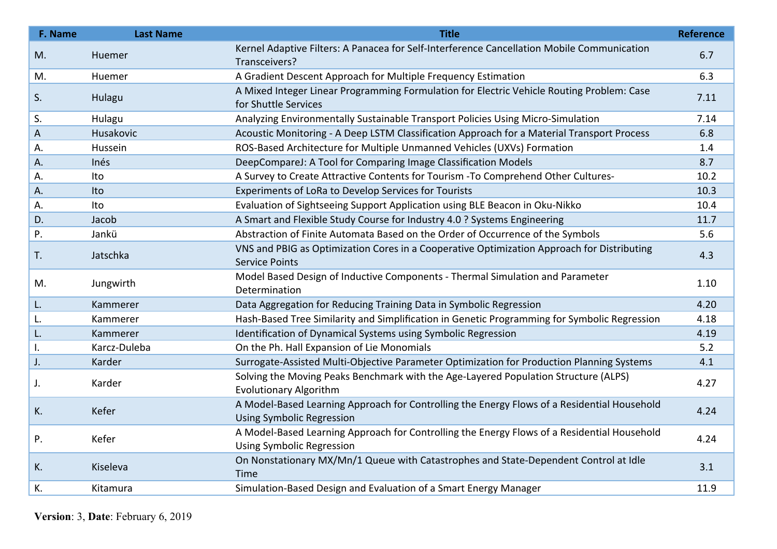| F. Name | <b>Last Name</b> | <b>Title</b>                                                                                                                    | <b>Reference</b> |
|---------|------------------|---------------------------------------------------------------------------------------------------------------------------------|------------------|
| M.      | Huemer           | Kernel Adaptive Filters: A Panacea for Self-Interference Cancellation Mobile Communication<br>Transceivers?                     | 6.7              |
| M.      | Huemer           | A Gradient Descent Approach for Multiple Frequency Estimation                                                                   | 6.3              |
| S.      | Hulagu           | A Mixed Integer Linear Programming Formulation for Electric Vehicle Routing Problem: Case<br>for Shuttle Services               | 7.11             |
| S.      | Hulagu           | Analyzing Environmentally Sustainable Transport Policies Using Micro-Simulation                                                 | 7.14             |
| A       | Husakovic        | Acoustic Monitoring - A Deep LSTM Classification Approach for a Material Transport Process                                      | 6.8              |
| А.      | Hussein          | ROS-Based Architecture for Multiple Unmanned Vehicles (UXVs) Formation                                                          | 1.4              |
| А.      | Inés             | DeepCompareJ: A Tool for Comparing Image Classification Models                                                                  | 8.7              |
| А.      | Ito              | A Survey to Create Attractive Contents for Tourism - To Comprehend Other Cultures-                                              | 10.2             |
| А.      | Ito              | Experiments of LoRa to Develop Services for Tourists                                                                            | 10.3             |
| А.      | Ito              | Evaluation of Sightseeing Support Application using BLE Beacon in Oku-Nikko                                                     | 10.4             |
| D.      | Jacob            | A Smart and Flexible Study Course for Industry 4.0 ? Systems Engineering                                                        | 11.7             |
| Ρ.      | Jankü            | Abstraction of Finite Automata Based on the Order of Occurrence of the Symbols                                                  | 5.6              |
| T.      | Jatschka         | VNS and PBIG as Optimization Cores in a Cooperative Optimization Approach for Distributing<br><b>Service Points</b>             | 4.3              |
| M.      | Jungwirth        | Model Based Design of Inductive Components - Thermal Simulation and Parameter<br>Determination                                  | 1.10             |
| L.      | Kammerer         | Data Aggregation for Reducing Training Data in Symbolic Regression                                                              | 4.20             |
| L.      | Kammerer         | Hash-Based Tree Similarity and Simplification in Genetic Programming for Symbolic Regression                                    | 4.18             |
| L.      | Kammerer         | Identification of Dynamical Systems using Symbolic Regression                                                                   | 4.19             |
| I.      | Karcz-Duleba     | On the Ph. Hall Expansion of Lie Monomials                                                                                      | 5.2              |
| J.      | Karder           | Surrogate-Assisted Multi-Objective Parameter Optimization for Production Planning Systems                                       | 4.1              |
| J.      | Karder           | Solving the Moving Peaks Benchmark with the Age-Layered Population Structure (ALPS)<br><b>Evolutionary Algorithm</b>            | 4.27             |
| K.      | Kefer            | A Model-Based Learning Approach for Controlling the Energy Flows of a Residential Household<br><b>Using Symbolic Regression</b> | 4.24             |
| P.      | Kefer            | A Model-Based Learning Approach for Controlling the Energy Flows of a Residential Household<br><b>Using Symbolic Regression</b> | 4.24             |
| K.      | Kiseleva         | On Nonstationary MX/Mn/1 Queue with Catastrophes and State-Dependent Control at Idle<br>Time                                    | 3.1              |
| К.      | Kitamura         | Simulation-Based Design and Evaluation of a Smart Energy Manager                                                                | 11.9             |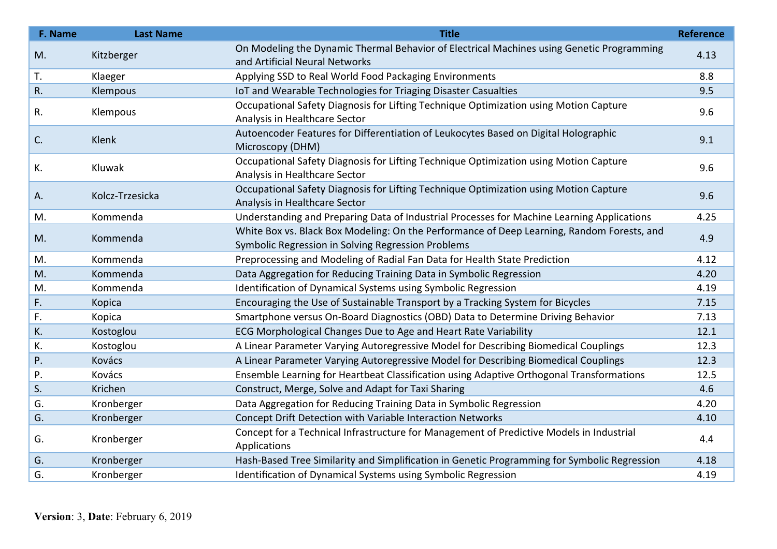| F. Name | <b>Last Name</b> | <b>Title</b>                                                                                                                                     | <b>Reference</b> |
|---------|------------------|--------------------------------------------------------------------------------------------------------------------------------------------------|------------------|
| M.      | Kitzberger       | On Modeling the Dynamic Thermal Behavior of Electrical Machines using Genetic Programming<br>and Artificial Neural Networks                      | 4.13             |
| T.      | Klaeger          | Applying SSD to Real World Food Packaging Environments                                                                                           | 8.8              |
| R.      | Klempous         | IoT and Wearable Technologies for Triaging Disaster Casualties                                                                                   | 9.5              |
| R.      | Klempous         | Occupational Safety Diagnosis for Lifting Technique Optimization using Motion Capture<br>Analysis in Healthcare Sector                           | 9.6              |
| C.      | Klenk            | Autoencoder Features for Differentiation of Leukocytes Based on Digital Holographic<br>Microscopy (DHM)                                          | 9.1              |
| К.      | Kluwak           | Occupational Safety Diagnosis for Lifting Technique Optimization using Motion Capture<br>Analysis in Healthcare Sector                           | 9.6              |
| А.      | Kolcz-Trzesicka  | Occupational Safety Diagnosis for Lifting Technique Optimization using Motion Capture<br>Analysis in Healthcare Sector                           | 9.6              |
| M.      | Kommenda         | Understanding and Preparing Data of Industrial Processes for Machine Learning Applications                                                       | 4.25             |
| M.      | Kommenda         | White Box vs. Black Box Modeling: On the Performance of Deep Learning, Random Forests, and<br>Symbolic Regression in Solving Regression Problems | 4.9              |
| M.      | Kommenda         | Preprocessing and Modeling of Radial Fan Data for Health State Prediction                                                                        | 4.12             |
| M.      | Kommenda         | Data Aggregation for Reducing Training Data in Symbolic Regression                                                                               | 4.20             |
| M.      | Kommenda         | Identification of Dynamical Systems using Symbolic Regression                                                                                    | 4.19             |
| F.      | Kopica           | Encouraging the Use of Sustainable Transport by a Tracking System for Bicycles                                                                   | 7.15             |
| F.      | Kopica           | Smartphone versus On-Board Diagnostics (OBD) Data to Determine Driving Behavior                                                                  | 7.13             |
| К.      | Kostoglou        | ECG Morphological Changes Due to Age and Heart Rate Variability                                                                                  | 12.1             |
| К.      | Kostoglou        | A Linear Parameter Varying Autoregressive Model for Describing Biomedical Couplings                                                              | 12.3             |
| P.      | Kovács           | A Linear Parameter Varying Autoregressive Model for Describing Biomedical Couplings                                                              | 12.3             |
| Ρ.      | Kovács           | Ensemble Learning for Heartbeat Classification using Adaptive Orthogonal Transformations                                                         | 12.5             |
| S.      | Krichen          | Construct, Merge, Solve and Adapt for Taxi Sharing                                                                                               | 4.6              |
| G.      | Kronberger       | Data Aggregation for Reducing Training Data in Symbolic Regression                                                                               | 4.20             |
| G.      | Kronberger       | Concept Drift Detection with Variable Interaction Networks                                                                                       | 4.10             |
| G.      | Kronberger       | Concept for a Technical Infrastructure for Management of Predictive Models in Industrial<br>Applications                                         | 4.4              |
| G.      | Kronberger       | Hash-Based Tree Similarity and Simplification in Genetic Programming for Symbolic Regression                                                     | 4.18             |
| G.      | Kronberger       | Identification of Dynamical Systems using Symbolic Regression                                                                                    | 4.19             |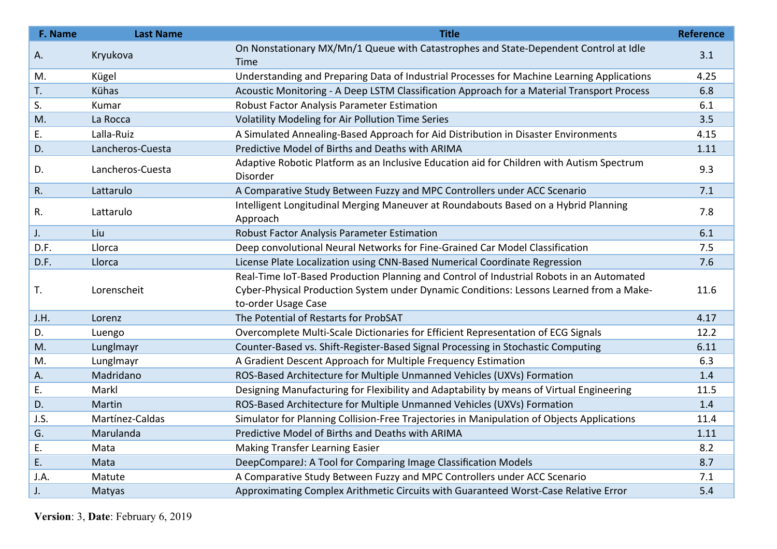| F. Name | <b>Last Name</b> | <b>Title</b>                                                                                          | <b>Reference</b> |
|---------|------------------|-------------------------------------------------------------------------------------------------------|------------------|
| А.      | Kryukova         | On Nonstationary MX/Mn/1 Queue with Catastrophes and State-Dependent Control at Idle<br>Time          | 3.1              |
| M.      | Kügel            | Understanding and Preparing Data of Industrial Processes for Machine Learning Applications            | 4.25             |
| T.      | Kühas            | Acoustic Monitoring - A Deep LSTM Classification Approach for a Material Transport Process            | 6.8              |
| S.      | Kumar            | <b>Robust Factor Analysis Parameter Estimation</b>                                                    | 6.1              |
| M.      | La Rocca         | Volatility Modeling for Air Pollution Time Series                                                     | 3.5              |
| Ε.      | Lalla-Ruiz       | A Simulated Annealing-Based Approach for Aid Distribution in Disaster Environments                    | 4.15             |
| D.      | Lancheros-Cuesta | Predictive Model of Births and Deaths with ARIMA                                                      | 1.11             |
| D.      | Lancheros-Cuesta | Adaptive Robotic Platform as an Inclusive Education aid for Children with Autism Spectrum<br>Disorder | 9.3              |
| R.      | Lattarulo        | A Comparative Study Between Fuzzy and MPC Controllers under ACC Scenario                              | 7.1              |
| R.      | Lattarulo        | Intelligent Longitudinal Merging Maneuver at Roundabouts Based on a Hybrid Planning<br>Approach       | 7.8              |
| J.      | Liu              | Robust Factor Analysis Parameter Estimation                                                           | 6.1              |
| D.F.    | Llorca           | Deep convolutional Neural Networks for Fine-Grained Car Model Classification                          | 7.5              |
| D.F.    | Llorca           | License Plate Localization using CNN-Based Numerical Coordinate Regression                            | 7.6              |
|         |                  | Real-Time IoT-Based Production Planning and Control of Industrial Robots in an Automated              |                  |
| Т.      | Lorenscheit      | Cyber-Physical Production System under Dynamic Conditions: Lessons Learned from a Make-               | 11.6             |
|         |                  | to-order Usage Case                                                                                   |                  |
| J.H.    | Lorenz           | The Potential of Restarts for ProbSAT                                                                 | 4.17             |
| D.      | Luengo           | Overcomplete Multi-Scale Dictionaries for Efficient Representation of ECG Signals                     | 12.2             |
| M.      | Lunglmayr        | Counter-Based vs. Shift-Register-Based Signal Processing in Stochastic Computing                      | 6.11             |
| M.      | Lunglmayr        | A Gradient Descent Approach for Multiple Frequency Estimation                                         | 6.3              |
| А.      | Madridano        | ROS-Based Architecture for Multiple Unmanned Vehicles (UXVs) Formation                                | 1.4              |
| Ε.      | Markl            | Designing Manufacturing for Flexibility and Adaptability by means of Virtual Engineering              | 11.5             |
| D.      | Martin           | ROS-Based Architecture for Multiple Unmanned Vehicles (UXVs) Formation                                | 1.4              |
| J.S.    | Martínez-Caldas  | Simulator for Planning Collision-Free Trajectories in Manipulation of Objects Applications            | 11.4             |
| G.      | Marulanda        | Predictive Model of Births and Deaths with ARIMA                                                      | 1.11             |
| Ε.      | Mata             | Making Transfer Learning Easier                                                                       | 8.2              |
| Ε.      | Mata             | DeepCompareJ: A Tool for Comparing Image Classification Models                                        | 8.7              |
| J.A.    | Matute           | A Comparative Study Between Fuzzy and MPC Controllers under ACC Scenario                              | 7.1              |
| J.      | Matyas           | Approximating Complex Arithmetic Circuits with Guaranteed Worst-Case Relative Error                   | 5.4              |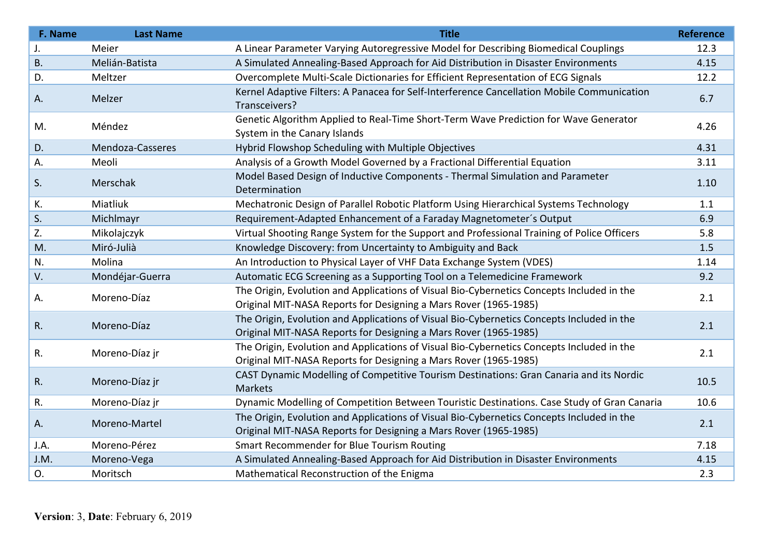| F. Name     | <b>Last Name</b> | <b>Title</b>                                                                                                                                                  | <b>Reference</b> |
|-------------|------------------|---------------------------------------------------------------------------------------------------------------------------------------------------------------|------------------|
| J.          | Meier            | A Linear Parameter Varying Autoregressive Model for Describing Biomedical Couplings                                                                           | 12.3             |
| <b>B.</b>   | Melián-Batista   | A Simulated Annealing-Based Approach for Aid Distribution in Disaster Environments                                                                            | 4.15             |
| D.          | Meltzer          | Overcomplete Multi-Scale Dictionaries for Efficient Representation of ECG Signals                                                                             | 12.2             |
| A.          | Melzer           | Kernel Adaptive Filters: A Panacea for Self-Interference Cancellation Mobile Communication<br>Transceivers?                                                   | 6.7              |
| M.          | Méndez           | Genetic Algorithm Applied to Real-Time Short-Term Wave Prediction for Wave Generator<br>System in the Canary Islands                                          | 4.26             |
| D.          | Mendoza-Casseres | Hybrid Flowshop Scheduling with Multiple Objectives                                                                                                           | 4.31             |
| А.          | Meoli            | Analysis of a Growth Model Governed by a Fractional Differential Equation                                                                                     | 3.11             |
| S.          | Merschak         | Model Based Design of Inductive Components - Thermal Simulation and Parameter<br>Determination                                                                | 1.10             |
| К.          | Miatliuk         | Mechatronic Design of Parallel Robotic Platform Using Hierarchical Systems Technology                                                                         | 1.1              |
| S.          | Michlmayr        | Requirement-Adapted Enhancement of a Faraday Magnetometer's Output                                                                                            | 6.9              |
| Z.          | Mikolajczyk      | Virtual Shooting Range System for the Support and Professional Training of Police Officers                                                                    | 5.8              |
| M.          | Miró-Julià       | Knowledge Discovery: from Uncertainty to Ambiguity and Back                                                                                                   | 1.5              |
| N.          | Molina           | An Introduction to Physical Layer of VHF Data Exchange System (VDES)                                                                                          | 1.14             |
| V.          | Mondéjar-Guerra  | Automatic ECG Screening as a Supporting Tool on a Telemedicine Framework                                                                                      | 9.2              |
| Α.          | Moreno-Díaz      | The Origin, Evolution and Applications of Visual Bio-Cybernetics Concepts Included in the<br>Original MIT-NASA Reports for Designing a Mars Rover (1965-1985) | 2.1              |
| $R_{\cdot}$ | Moreno-Díaz      | The Origin, Evolution and Applications of Visual Bio-Cybernetics Concepts Included in the<br>Original MIT-NASA Reports for Designing a Mars Rover (1965-1985) | 2.1              |
| R.          | Moreno-Díaz jr   | The Origin, Evolution and Applications of Visual Bio-Cybernetics Concepts Included in the<br>Original MIT-NASA Reports for Designing a Mars Rover (1965-1985) | 2.1              |
| R.          | Moreno-Díaz jr   | CAST Dynamic Modelling of Competitive Tourism Destinations: Gran Canaria and its Nordic<br>Markets                                                            | 10.5             |
| R.          | Moreno-Díaz jr   | Dynamic Modelling of Competition Between Touristic Destinations. Case Study of Gran Canaria                                                                   | 10.6             |
| A.          | Moreno-Martel    | The Origin, Evolution and Applications of Visual Bio-Cybernetics Concepts Included in the<br>Original MIT-NASA Reports for Designing a Mars Rover (1965-1985) | 2.1              |
| J.A.        | Moreno-Pérez     | Smart Recommender for Blue Tourism Routing                                                                                                                    | 7.18             |
| J.M.        | Moreno-Vega      | A Simulated Annealing-Based Approach for Aid Distribution in Disaster Environments                                                                            | 4.15             |
| O.          | Moritsch         | Mathematical Reconstruction of the Enigma                                                                                                                     | 2.3              |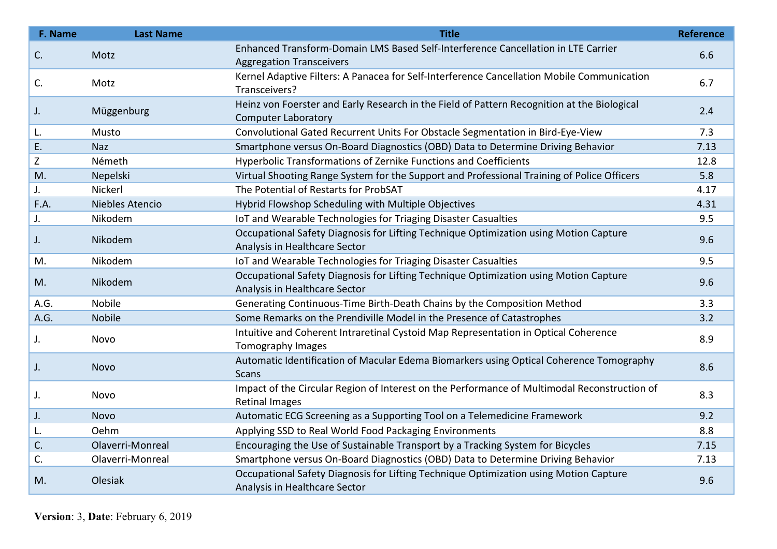| F. Name | <b>Last Name</b> | <b>Title</b>                                                                                                              | <b>Reference</b> |
|---------|------------------|---------------------------------------------------------------------------------------------------------------------------|------------------|
| C.      | Motz             | Enhanced Transform-Domain LMS Based Self-Interference Cancellation in LTE Carrier<br><b>Aggregation Transceivers</b>      | 6.6              |
| C.      | Motz             | Kernel Adaptive Filters: A Panacea for Self-Interference Cancellation Mobile Communication<br>Transceivers?               | 6.7              |
| J.      | Müggenburg       | Heinz von Foerster and Early Research in the Field of Pattern Recognition at the Biological<br><b>Computer Laboratory</b> | 2.4              |
| L.      | Musto            | Convolutional Gated Recurrent Units For Obstacle Segmentation in Bird-Eye-View                                            | 7.3              |
| Ε.      | <b>Naz</b>       | Smartphone versus On-Board Diagnostics (OBD) Data to Determine Driving Behavior                                           | 7.13             |
| Z       | Németh           | Hyperbolic Transformations of Zernike Functions and Coefficients                                                          | 12.8             |
| M.      | Nepelski         | Virtual Shooting Range System for the Support and Professional Training of Police Officers                                | 5.8              |
| J.      | Nickerl          | The Potential of Restarts for ProbSAT                                                                                     | 4.17             |
| F.A.    | Niebles Atencio  | Hybrid Flowshop Scheduling with Multiple Objectives                                                                       | 4.31             |
| J.      | Nikodem          | IoT and Wearable Technologies for Triaging Disaster Casualties                                                            | 9.5              |
| J.      | Nikodem          | Occupational Safety Diagnosis for Lifting Technique Optimization using Motion Capture<br>Analysis in Healthcare Sector    | 9.6              |
| M.      | Nikodem          | IoT and Wearable Technologies for Triaging Disaster Casualties                                                            | 9.5              |
| M.      | Nikodem          | Occupational Safety Diagnosis for Lifting Technique Optimization using Motion Capture<br>Analysis in Healthcare Sector    | 9.6              |
| A.G.    | Nobile           | Generating Continuous-Time Birth-Death Chains by the Composition Method                                                   | 3.3              |
| A.G.    | Nobile           | Some Remarks on the Prendiville Model in the Presence of Catastrophes                                                     | 3.2              |
| J.      | Novo             | Intuitive and Coherent Intraretinal Cystoid Map Representation in Optical Coherence<br>Tomography Images                  | 8.9              |
| J.      | <b>Novo</b>      | Automatic Identification of Macular Edema Biomarkers using Optical Coherence Tomography<br><b>Scans</b>                   | 8.6              |
| J.      | Novo             | Impact of the Circular Region of Interest on the Performance of Multimodal Reconstruction of<br><b>Retinal Images</b>     | 8.3              |
| J.      | <b>Novo</b>      | Automatic ECG Screening as a Supporting Tool on a Telemedicine Framework                                                  | 9.2              |
| L.      | Oehm             | Applying SSD to Real World Food Packaging Environments                                                                    | 8.8              |
| C.      | Olaverri-Monreal | Encouraging the Use of Sustainable Transport by a Tracking System for Bicycles                                            | 7.15             |
| C.      | Olaverri-Monreal | Smartphone versus On-Board Diagnostics (OBD) Data to Determine Driving Behavior                                           | 7.13             |
| M.      | Olesiak          | Occupational Safety Diagnosis for Lifting Technique Optimization using Motion Capture<br>Analysis in Healthcare Sector    | 9.6              |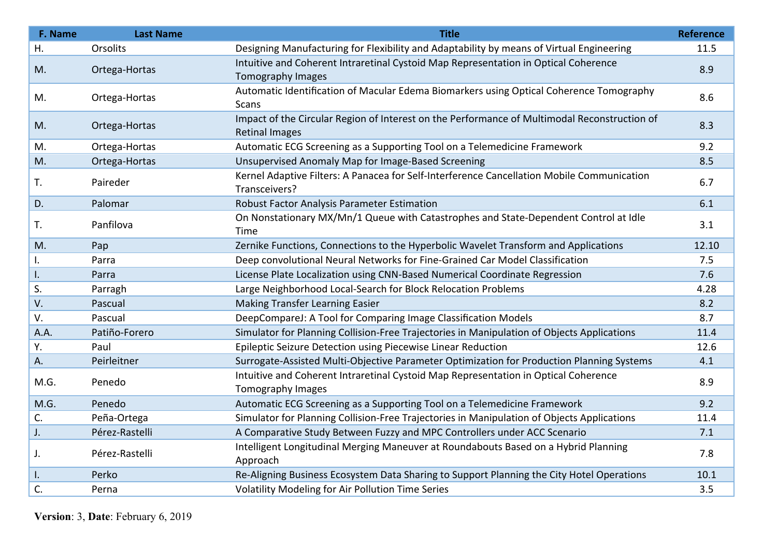| F. Name | <b>Last Name</b> | <b>Title</b>                                                                                                          | Reference |
|---------|------------------|-----------------------------------------------------------------------------------------------------------------------|-----------|
| Η.      | Orsolits         | Designing Manufacturing for Flexibility and Adaptability by means of Virtual Engineering                              | 11.5      |
| M.      | Ortega-Hortas    | Intuitive and Coherent Intraretinal Cystoid Map Representation in Optical Coherence<br>Tomography Images              | 8.9       |
| M.      | Ortega-Hortas    | Automatic Identification of Macular Edema Biomarkers using Optical Coherence Tomography<br>Scans                      | 8.6       |
| M.      | Ortega-Hortas    | Impact of the Circular Region of Interest on the Performance of Multimodal Reconstruction of<br><b>Retinal Images</b> | 8.3       |
| M.      | Ortega-Hortas    | Automatic ECG Screening as a Supporting Tool on a Telemedicine Framework                                              | 9.2       |
| M.      | Ortega-Hortas    | Unsupervised Anomaly Map for Image-Based Screening                                                                    | 8.5       |
| T.      | Paireder         | Kernel Adaptive Filters: A Panacea for Self-Interference Cancellation Mobile Communication<br>Transceivers?           | 6.7       |
| D.      | Palomar          | Robust Factor Analysis Parameter Estimation                                                                           | 6.1       |
| T.      | Panfilova        | On Nonstationary MX/Mn/1 Queue with Catastrophes and State-Dependent Control at Idle<br>Time                          | 3.1       |
| M.      | Pap              | Zernike Functions, Connections to the Hyperbolic Wavelet Transform and Applications                                   | 12.10     |
| I.      | Parra            | Deep convolutional Neural Networks for Fine-Grained Car Model Classification                                          | 7.5       |
| I.      | Parra            | License Plate Localization using CNN-Based Numerical Coordinate Regression                                            | 7.6       |
| S.      | Parragh          | Large Neighborhood Local-Search for Block Relocation Problems                                                         | 4.28      |
| V.      | Pascual          | <b>Making Transfer Learning Easier</b>                                                                                | 8.2       |
| V.      | Pascual          | DeepCompareJ: A Tool for Comparing Image Classification Models                                                        | 8.7       |
| A.A.    | Patiño-Forero    | Simulator for Planning Collision-Free Trajectories in Manipulation of Objects Applications                            | 11.4      |
| Υ.      | Paul             | Epileptic Seizure Detection using Piecewise Linear Reduction                                                          | 12.6      |
| А.      | Peirleitner      | Surrogate-Assisted Multi-Objective Parameter Optimization for Production Planning Systems                             | 4.1       |
| M.G.    | Penedo           | Intuitive and Coherent Intraretinal Cystoid Map Representation in Optical Coherence<br>Tomography Images              | 8.9       |
| M.G.    | Penedo           | Automatic ECG Screening as a Supporting Tool on a Telemedicine Framework                                              | 9.2       |
| C.      | Peña-Ortega      | Simulator for Planning Collision-Free Trajectories in Manipulation of Objects Applications                            | 11.4      |
| J.      | Pérez-Rastelli   | A Comparative Study Between Fuzzy and MPC Controllers under ACC Scenario                                              | 7.1       |
| J.      | Pérez-Rastelli   | Intelligent Longitudinal Merging Maneuver at Roundabouts Based on a Hybrid Planning<br>Approach                       | 7.8       |
| I.      | Perko            | Re-Aligning Business Ecosystem Data Sharing to Support Planning the City Hotel Operations                             | 10.1      |
| C.      | Perna            | Volatility Modeling for Air Pollution Time Series                                                                     | 3.5       |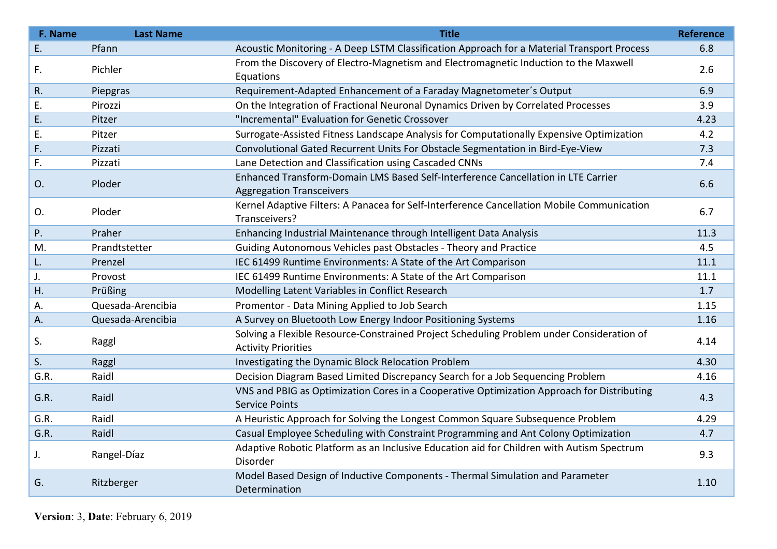| F. Name | <b>Last Name</b>  | <b>Title</b>                                                                                                            | <b>Reference</b> |
|---------|-------------------|-------------------------------------------------------------------------------------------------------------------------|------------------|
| E.      | Pfann             | Acoustic Monitoring - A Deep LSTM Classification Approach for a Material Transport Process                              | 6.8              |
| F.      | Pichler           | From the Discovery of Electro-Magnetism and Electromagnetic Induction to the Maxwell<br>Equations                       | 2.6              |
| R.      | Piepgras          | Requirement-Adapted Enhancement of a Faraday Magnetometer's Output                                                      | 6.9              |
| Ε.      | Pirozzi           | On the Integration of Fractional Neuronal Dynamics Driven by Correlated Processes                                       | 3.9              |
| Ε.      | Pitzer            | "Incremental" Evaluation for Genetic Crossover                                                                          | 4.23             |
| Ε.      | Pitzer            | Surrogate-Assisted Fitness Landscape Analysis for Computationally Expensive Optimization                                | 4.2              |
| F.      | Pizzati           | Convolutional Gated Recurrent Units For Obstacle Segmentation in Bird-Eye-View                                          | 7.3              |
| F.      | Pizzati           | Lane Detection and Classification using Cascaded CNNs                                                                   | 7.4              |
| O.      | Ploder            | Enhanced Transform-Domain LMS Based Self-Interference Cancellation in LTE Carrier<br><b>Aggregation Transceivers</b>    | 6.6              |
| O.      | Ploder            | Kernel Adaptive Filters: A Panacea for Self-Interference Cancellation Mobile Communication<br>Transceivers?             | 6.7              |
| P.      | Praher            | Enhancing Industrial Maintenance through Intelligent Data Analysis                                                      | 11.3             |
| M.      | Prandtstetter     | Guiding Autonomous Vehicles past Obstacles - Theory and Practice                                                        | 4.5              |
| L.      | Prenzel           | IEC 61499 Runtime Environments: A State of the Art Comparison                                                           | 11.1             |
| J.      | Provost           | IEC 61499 Runtime Environments: A State of the Art Comparison                                                           | 11.1             |
| Η.      | Prüßing           | Modelling Latent Variables in Conflict Research                                                                         | 1.7              |
| А.      | Quesada-Arencibia | Promentor - Data Mining Applied to Job Search                                                                           | 1.15             |
| A.      | Quesada-Arencibia | A Survey on Bluetooth Low Energy Indoor Positioning Systems                                                             | 1.16             |
| S.      | Raggl             | Solving a Flexible Resource-Constrained Project Scheduling Problem under Consideration of<br><b>Activity Priorities</b> | 4.14             |
| S.      | Raggl             | Investigating the Dynamic Block Relocation Problem                                                                      | 4.30             |
| G.R.    | Raidl             | Decision Diagram Based Limited Discrepancy Search for a Job Sequencing Problem                                          | 4.16             |
| G.R.    | Raidl             | VNS and PBIG as Optimization Cores in a Cooperative Optimization Approach for Distributing<br><b>Service Points</b>     | 4.3              |
| G.R.    | Raidl             | A Heuristic Approach for Solving the Longest Common Square Subsequence Problem                                          | 4.29             |
| G.R.    | Raidl             | Casual Employee Scheduling with Constraint Programming and Ant Colony Optimization                                      | 4.7              |
| J.      | Rangel-Díaz       | Adaptive Robotic Platform as an Inclusive Education aid for Children with Autism Spectrum<br>Disorder                   | 9.3              |
| G.      | Ritzberger        | Model Based Design of Inductive Components - Thermal Simulation and Parameter<br>Determination                          | 1.10             |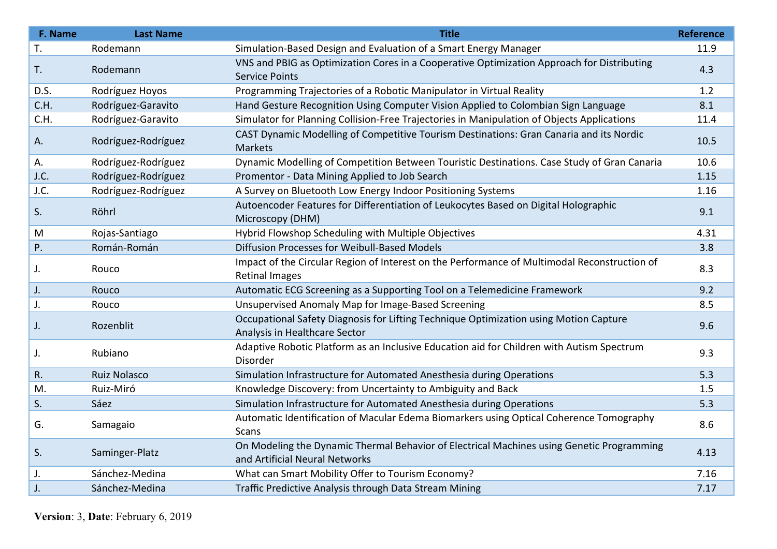| F. Name | <b>Last Name</b>    | <b>Title</b>                                                                                                                | <b>Reference</b> |
|---------|---------------------|-----------------------------------------------------------------------------------------------------------------------------|------------------|
| T.      | Rodemann            | Simulation-Based Design and Evaluation of a Smart Energy Manager                                                            | 11.9             |
| T.      | Rodemann            | VNS and PBIG as Optimization Cores in a Cooperative Optimization Approach for Distributing<br><b>Service Points</b>         | 4.3              |
| D.S.    | Rodríguez Hoyos     | Programming Trajectories of a Robotic Manipulator in Virtual Reality                                                        | 1.2              |
| C.H.    | Rodríguez-Garavito  | Hand Gesture Recognition Using Computer Vision Applied to Colombian Sign Language                                           | 8.1              |
| C.H.    | Rodríguez-Garavito  | Simulator for Planning Collision-Free Trajectories in Manipulation of Objects Applications                                  | 11.4             |
| Α.      | Rodríguez-Rodríguez | CAST Dynamic Modelling of Competitive Tourism Destinations: Gran Canaria and its Nordic<br>Markets                          | 10.5             |
| А.      | Rodríguez-Rodríguez | Dynamic Modelling of Competition Between Touristic Destinations. Case Study of Gran Canaria                                 | 10.6             |
| J.C.    | Rodríguez-Rodríguez | Promentor - Data Mining Applied to Job Search                                                                               | 1.15             |
| J.C.    | Rodríguez-Rodríguez | A Survey on Bluetooth Low Energy Indoor Positioning Systems                                                                 | 1.16             |
| S.      | Röhrl               | Autoencoder Features for Differentiation of Leukocytes Based on Digital Holographic<br>Microscopy (DHM)                     | 9.1              |
| M       | Rojas-Santiago      | Hybrid Flowshop Scheduling with Multiple Objectives                                                                         | 4.31             |
| Ρ.      | Román-Román         | Diffusion Processes for Weibull-Based Models                                                                                | 3.8              |
| J.      | Rouco               | Impact of the Circular Region of Interest on the Performance of Multimodal Reconstruction of<br><b>Retinal Images</b>       | 8.3              |
| J.      | Rouco               | Automatic ECG Screening as a Supporting Tool on a Telemedicine Framework                                                    | 9.2              |
| J.      | Rouco               | Unsupervised Anomaly Map for Image-Based Screening                                                                          | 8.5              |
| J.      | Rozenblit           | Occupational Safety Diagnosis for Lifting Technique Optimization using Motion Capture<br>Analysis in Healthcare Sector      | 9.6              |
| J.      | Rubiano             | Adaptive Robotic Platform as an Inclusive Education aid for Children with Autism Spectrum<br>Disorder                       | 9.3              |
| R.      | Ruiz Nolasco        | Simulation Infrastructure for Automated Anesthesia during Operations                                                        | 5.3              |
| M.      | Ruiz-Miró           | Knowledge Discovery: from Uncertainty to Ambiguity and Back                                                                 | 1.5              |
| S.      | Sáez                | Simulation Infrastructure for Automated Anesthesia during Operations                                                        | 5.3              |
| G.      | Samagaio            | Automatic Identification of Macular Edema Biomarkers using Optical Coherence Tomography<br>Scans                            | 8.6              |
| S.      | Saminger-Platz      | On Modeling the Dynamic Thermal Behavior of Electrical Machines using Genetic Programming<br>and Artificial Neural Networks | 4.13             |
| J.      | Sánchez-Medina      | What can Smart Mobility Offer to Tourism Economy?                                                                           | 7.16             |
| J.      | Sánchez-Medina      | Traffic Predictive Analysis through Data Stream Mining                                                                      | 7.17             |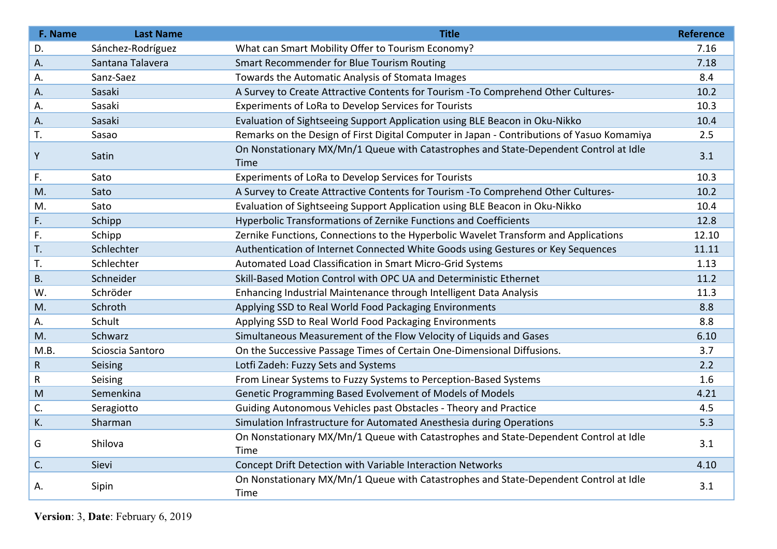| F. Name     | <b>Last Name</b>  | <b>Title</b>                                                                                 | <b>Reference</b> |
|-------------|-------------------|----------------------------------------------------------------------------------------------|------------------|
| D.          | Sánchez-Rodríguez | What can Smart Mobility Offer to Tourism Economy?                                            | 7.16             |
| Α.          | Santana Talavera  | Smart Recommender for Blue Tourism Routing                                                   | 7.18             |
| А.          | Sanz-Saez         | Towards the Automatic Analysis of Stomata Images                                             | 8.4              |
| Α.          | Sasaki            | A Survey to Create Attractive Contents for Tourism - To Comprehend Other Cultures-           | 10.2             |
| Α.          | Sasaki            | Experiments of LoRa to Develop Services for Tourists                                         | 10.3             |
| Α.          | Sasaki            | Evaluation of Sightseeing Support Application using BLE Beacon in Oku-Nikko                  | 10.4             |
| T.          | Sasao             | Remarks on the Design of First Digital Computer in Japan - Contributions of Yasuo Komamiya   | 2.5              |
| Y           | Satin             | On Nonstationary MX/Mn/1 Queue with Catastrophes and State-Dependent Control at Idle<br>Time | 3.1              |
| F.          | Sato              | Experiments of LoRa to Develop Services for Tourists                                         | 10.3             |
| M.          | Sato              | A Survey to Create Attractive Contents for Tourism - To Comprehend Other Cultures-           | 10.2             |
| M.          | Sato              | Evaluation of Sightseeing Support Application using BLE Beacon in Oku-Nikko                  | 10.4             |
| F.          | Schipp            | Hyperbolic Transformations of Zernike Functions and Coefficients                             | 12.8             |
| F.          | Schipp            | Zernike Functions, Connections to the Hyperbolic Wavelet Transform and Applications          | 12.10            |
| T.          | Schlechter        | Authentication of Internet Connected White Goods using Gestures or Key Sequences             | 11.11            |
| T.          | Schlechter        | Automated Load Classification in Smart Micro-Grid Systems                                    | 1.13             |
| <b>B.</b>   | Schneider         | Skill-Based Motion Control with OPC UA and Deterministic Ethernet                            | 11.2             |
| W.          | Schröder          | Enhancing Industrial Maintenance through Intelligent Data Analysis                           | 11.3             |
| M.          | Schroth           | Applying SSD to Real World Food Packaging Environments                                       | 8.8              |
| Α.          | Schult            | Applying SSD to Real World Food Packaging Environments                                       | 8.8              |
| M.          | Schwarz           | Simultaneous Measurement of the Flow Velocity of Liquids and Gases                           | 6.10             |
| M.B.        | Scioscia Santoro  | On the Successive Passage Times of Certain One-Dimensional Diffusions.                       | 3.7              |
| $\mathsf R$ | Seising           | Lotfi Zadeh: Fuzzy Sets and Systems                                                          | 2.2              |
| R           | Seising           | From Linear Systems to Fuzzy Systems to Perception-Based Systems                             | 1.6              |
| M           | Semenkina         | Genetic Programming Based Evolvement of Models of Models                                     | 4.21             |
| C.          | Seragiotto        | Guiding Autonomous Vehicles past Obstacles - Theory and Practice                             | 4.5              |
| K.          | Sharman           | Simulation Infrastructure for Automated Anesthesia during Operations                         | 5.3              |
| G           | Shilova           | On Nonstationary MX/Mn/1 Queue with Catastrophes and State-Dependent Control at Idle<br>Time | 3.1              |
| C.          | Sievi             | Concept Drift Detection with Variable Interaction Networks                                   | 4.10             |
| А.          | Sipin             | On Nonstationary MX/Mn/1 Queue with Catastrophes and State-Dependent Control at Idle<br>Time | 3.1              |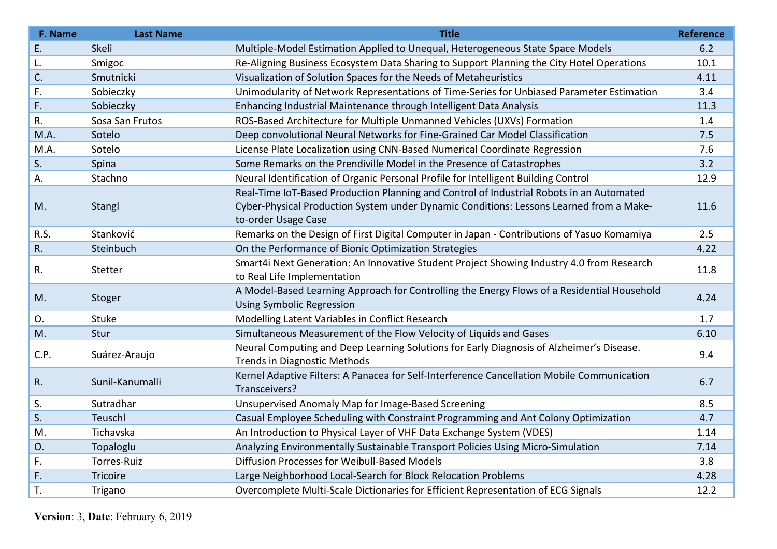| F. Name | <b>Last Name</b> | <b>Title</b>                                                                                | <b>Reference</b> |
|---------|------------------|---------------------------------------------------------------------------------------------|------------------|
| Ε.      | Skeli            | Multiple-Model Estimation Applied to Unequal, Heterogeneous State Space Models              | 6.2              |
| L.      | Smigoc           | Re-Aligning Business Ecosystem Data Sharing to Support Planning the City Hotel Operations   | 10.1             |
| C.      | Smutnicki        | Visualization of Solution Spaces for the Needs of Metaheuristics                            | 4.11             |
| F.      | Sobieczky        | Unimodularity of Network Representations of Time-Series for Unbiased Parameter Estimation   | 3.4              |
| F.      | Sobieczky        | Enhancing Industrial Maintenance through Intelligent Data Analysis                          | 11.3             |
| R.      | Sosa San Frutos  | ROS-Based Architecture for Multiple Unmanned Vehicles (UXVs) Formation                      | 1.4              |
| M.A.    | Sotelo           | Deep convolutional Neural Networks for Fine-Grained Car Model Classification                | 7.5              |
| M.A.    | Sotelo           | License Plate Localization using CNN-Based Numerical Coordinate Regression                  | 7.6              |
| S.      | Spina            | Some Remarks on the Prendiville Model in the Presence of Catastrophes                       | 3.2              |
| А.      | Stachno          | Neural Identification of Organic Personal Profile for Intelligent Building Control          | 12.9             |
|         |                  | Real-Time IoT-Based Production Planning and Control of Industrial Robots in an Automated    |                  |
| M.      | Stangl           | Cyber-Physical Production System under Dynamic Conditions: Lessons Learned from a Make-     | 11.6             |
|         |                  | to-order Usage Case                                                                         |                  |
| R.S.    | Stanković        | Remarks on the Design of First Digital Computer in Japan - Contributions of Yasuo Komamiya  | 2.5              |
| R.      | Steinbuch        | On the Performance of Bionic Optimization Strategies                                        | 4.22             |
| R.      | Stetter          | Smart4i Next Generation: An Innovative Student Project Showing Industry 4.0 from Research   | 11.8             |
|         |                  | to Real Life Implementation                                                                 |                  |
| M.      | Stoger           | A Model-Based Learning Approach for Controlling the Energy Flows of a Residential Household | 4.24             |
|         |                  | <b>Using Symbolic Regression</b>                                                            |                  |
| 0.      | Stuke            | Modelling Latent Variables in Conflict Research                                             | 1.7              |
| M.      | Stur             | Simultaneous Measurement of the Flow Velocity of Liquids and Gases                          | 6.10             |
| C.P.    | Suárez-Araujo    | Neural Computing and Deep Learning Solutions for Early Diagnosis of Alzheimer's Disease.    | 9.4              |
|         |                  | <b>Trends in Diagnostic Methods</b>                                                         |                  |
| R.      | Sunil-Kanumalli  | Kernel Adaptive Filters: A Panacea for Self-Interference Cancellation Mobile Communication  | 6.7              |
|         |                  | Transceivers?                                                                               |                  |
| S.      | Sutradhar        | Unsupervised Anomaly Map for Image-Based Screening                                          | 8.5              |
| S.      | Teuschl          | Casual Employee Scheduling with Constraint Programming and Ant Colony Optimization          | 4.7              |
| M.      | Tichavska        | An Introduction to Physical Layer of VHF Data Exchange System (VDES)                        | 1.14             |
| O.      | Topaloglu        | Analyzing Environmentally Sustainable Transport Policies Using Micro-Simulation             | 7.14             |
| F.      | Torres-Ruiz      | Diffusion Processes for Weibull-Based Models                                                | 3.8              |
| F.      | Tricoire         | Large Neighborhood Local-Search for Block Relocation Problems                               | 4.28             |
| T.      | Trigano          | Overcomplete Multi-Scale Dictionaries for Efficient Representation of ECG Signals           | 12.2             |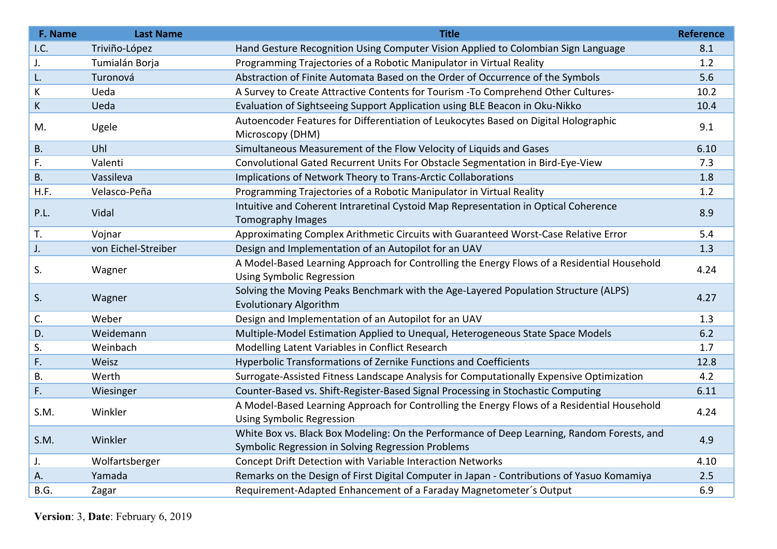| F. Name   | <b>Last Name</b>    | <b>Title</b>                                                                                                                                     | <b>Reference</b> |
|-----------|---------------------|--------------------------------------------------------------------------------------------------------------------------------------------------|------------------|
| I.C.      | Triviño-López       | Hand Gesture Recognition Using Computer Vision Applied to Colombian Sign Language                                                                | 8.1              |
| J.        | Tumialán Borja      | Programming Trajectories of a Robotic Manipulator in Virtual Reality                                                                             | 1.2              |
| L.        | Turonová            | Abstraction of Finite Automata Based on the Order of Occurrence of the Symbols                                                                   | 5.6              |
| К         | Ueda                | A Survey to Create Attractive Contents for Tourism - To Comprehend Other Cultures-                                                               | 10.2             |
| K         | Ueda                | Evaluation of Sightseeing Support Application using BLE Beacon in Oku-Nikko                                                                      | 10.4             |
| M.        | Ugele               | Autoencoder Features for Differentiation of Leukocytes Based on Digital Holographic<br>Microscopy (DHM)                                          | 9.1              |
| <b>B.</b> | Uhl                 | Simultaneous Measurement of the Flow Velocity of Liquids and Gases                                                                               | 6.10             |
| F.        | Valenti             | Convolutional Gated Recurrent Units For Obstacle Segmentation in Bird-Eye-View                                                                   | 7.3              |
| <b>B.</b> | Vassileva           | Implications of Network Theory to Trans-Arctic Collaborations                                                                                    | 1.8              |
| H.F.      | Velasco-Peña        | Programming Trajectories of a Robotic Manipulator in Virtual Reality                                                                             | 1.2              |
| P.L.      | Vidal               | Intuitive and Coherent Intraretinal Cystoid Map Representation in Optical Coherence<br>Tomography Images                                         | 8.9              |
| T.        | Vojnar              | Approximating Complex Arithmetic Circuits with Guaranteed Worst-Case Relative Error                                                              | 5.4              |
| J.        | von Eichel-Streiber | Design and Implementation of an Autopilot for an UAV                                                                                             | 1.3              |
| S.        | Wagner              | A Model-Based Learning Approach for Controlling the Energy Flows of a Residential Household<br><b>Using Symbolic Regression</b>                  | 4.24             |
| S.        | Wagner              | Solving the Moving Peaks Benchmark with the Age-Layered Population Structure (ALPS)<br><b>Evolutionary Algorithm</b>                             | 4.27             |
| C.        | Weber               | Design and Implementation of an Autopilot for an UAV                                                                                             | 1.3              |
| D.        | Weidemann           | Multiple-Model Estimation Applied to Unequal, Heterogeneous State Space Models                                                                   | 6.2              |
| S.        | Weinbach            | Modelling Latent Variables in Conflict Research                                                                                                  | 1.7              |
| F.        | Weisz               | Hyperbolic Transformations of Zernike Functions and Coefficients                                                                                 | 12.8             |
| <b>B.</b> | Werth               | Surrogate-Assisted Fitness Landscape Analysis for Computationally Expensive Optimization                                                         | 4.2              |
| F.        | Wiesinger           | Counter-Based vs. Shift-Register-Based Signal Processing in Stochastic Computing                                                                 | 6.11             |
| S.M.      | Winkler             | A Model-Based Learning Approach for Controlling the Energy Flows of a Residential Household<br><b>Using Symbolic Regression</b>                  | 4.24             |
| S.M.      | Winkler             | White Box vs. Black Box Modeling: On the Performance of Deep Learning, Random Forests, and<br>Symbolic Regression in Solving Regression Problems | 4.9              |
| J.        | Wolfartsberger      | Concept Drift Detection with Variable Interaction Networks                                                                                       | 4.10             |
| Α.        | Yamada              | Remarks on the Design of First Digital Computer in Japan - Contributions of Yasuo Komamiya                                                       | 2.5              |
| B.G.      | Zagar               | Requirement-Adapted Enhancement of a Faraday Magnetometer's Output                                                                               | 6.9              |
|           |                     |                                                                                                                                                  |                  |